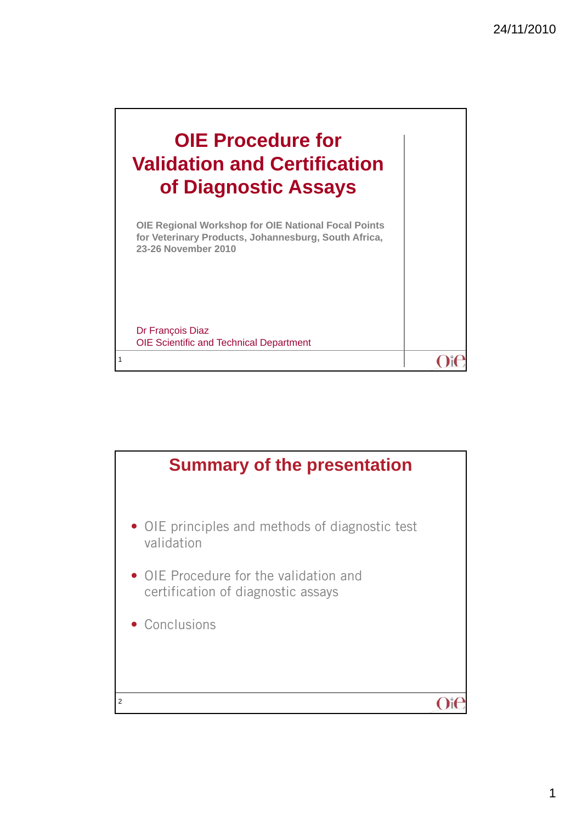$O$ it



Dr François Diaz OIE Scientific and Technical Department

1

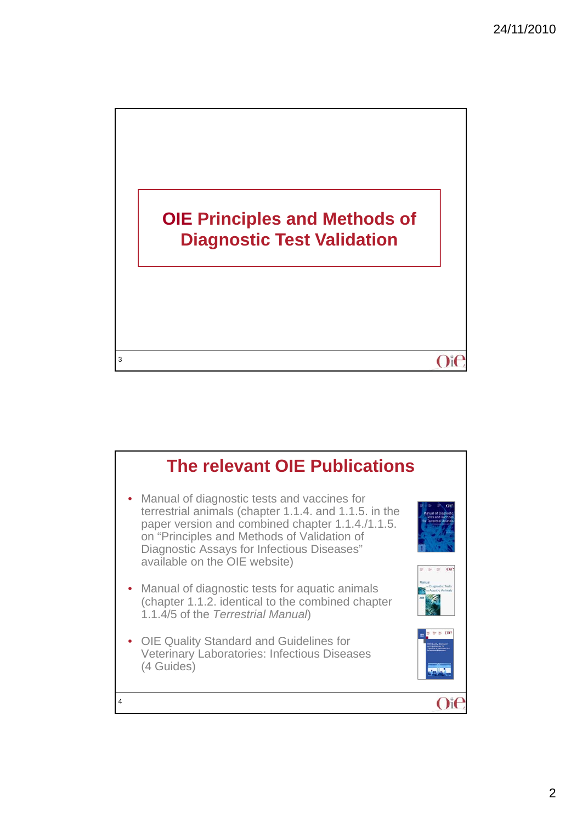

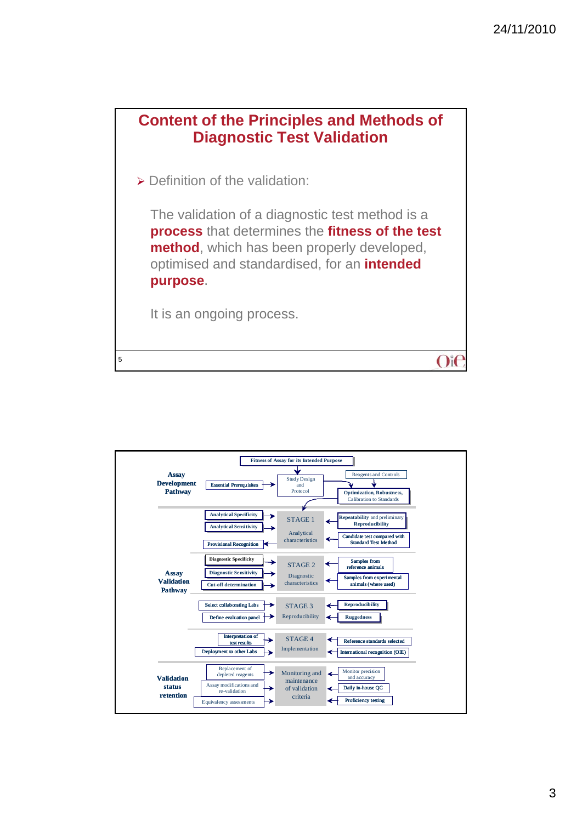

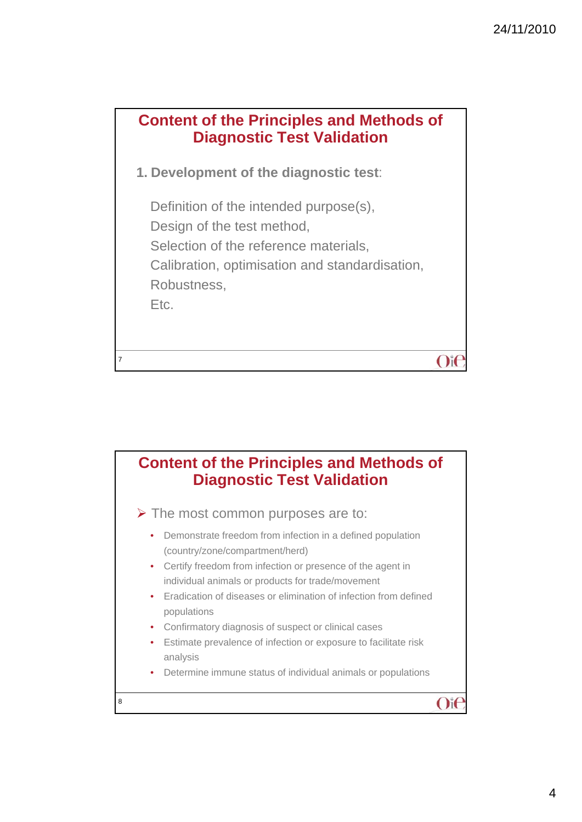

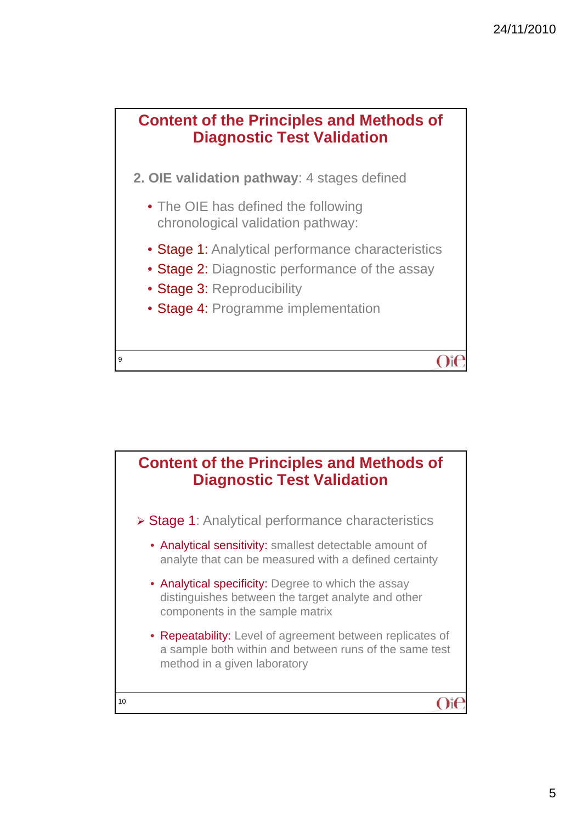

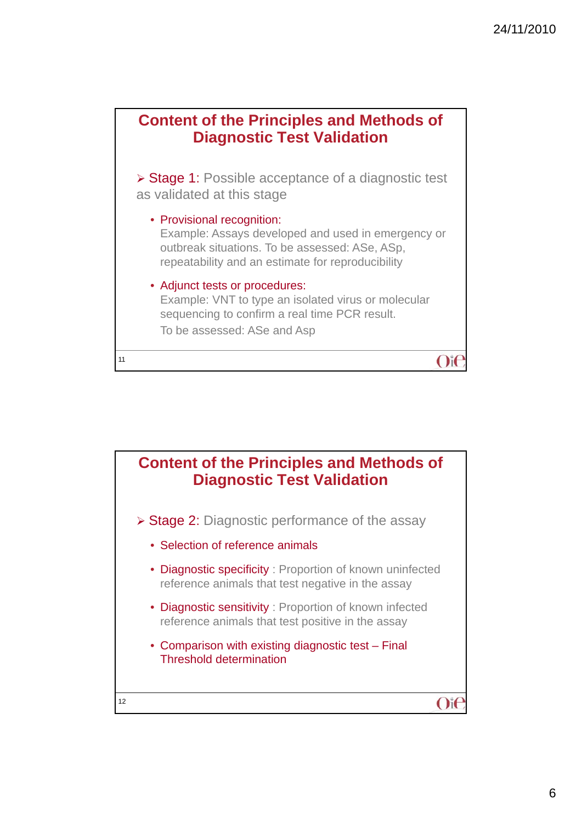

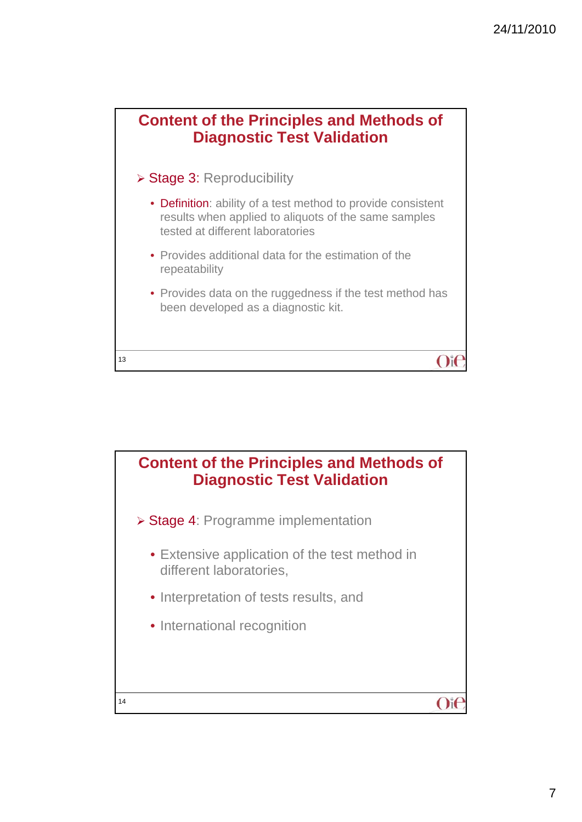

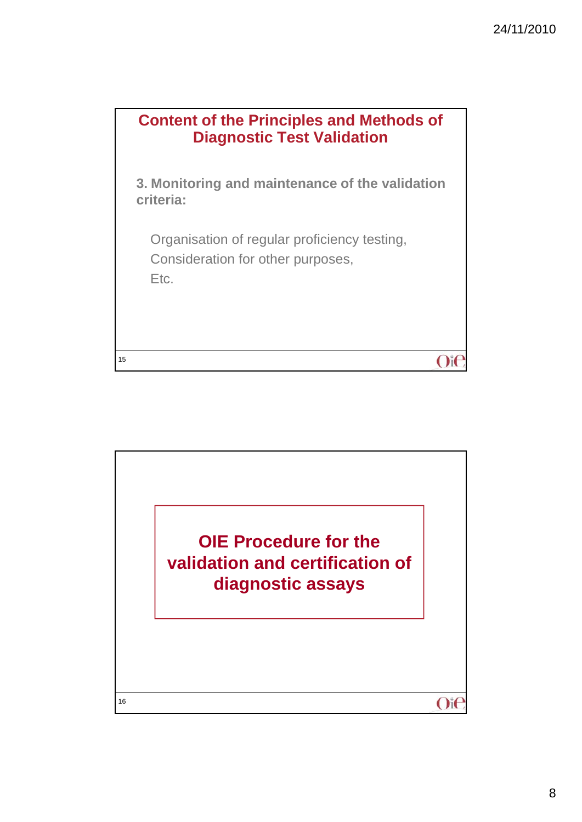

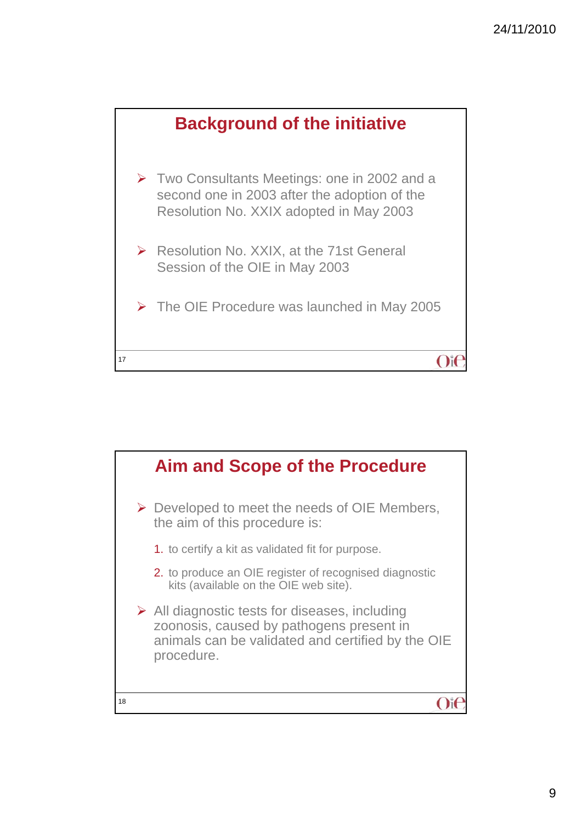

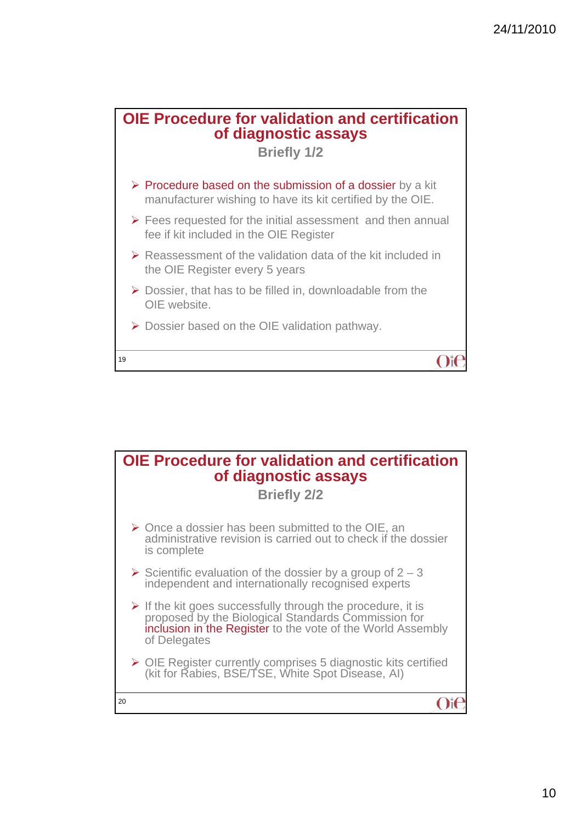

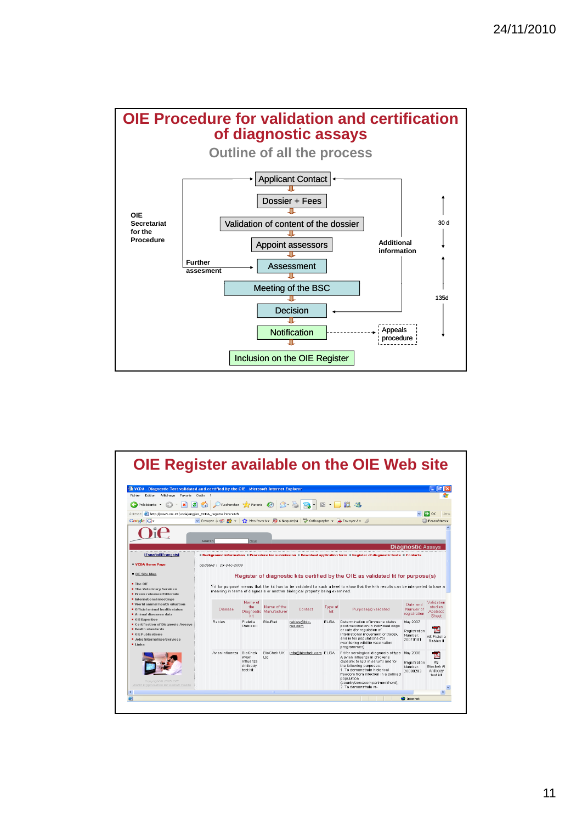

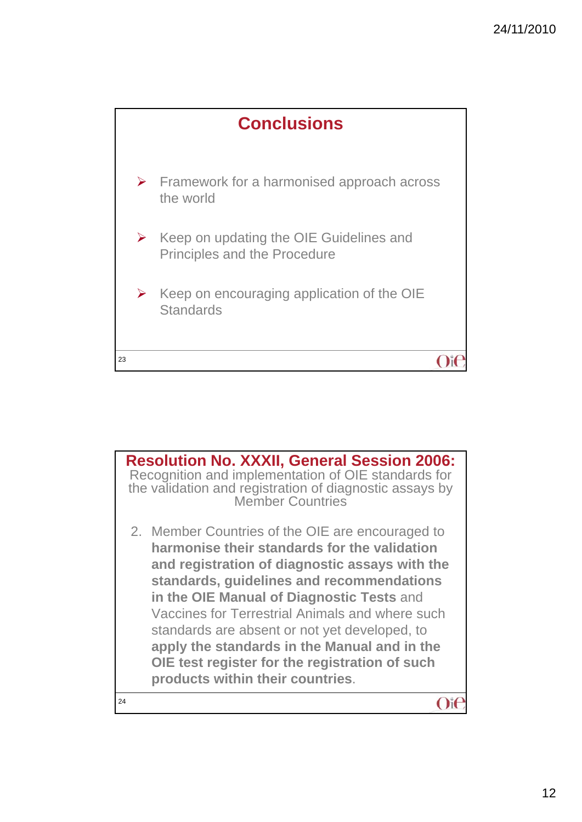